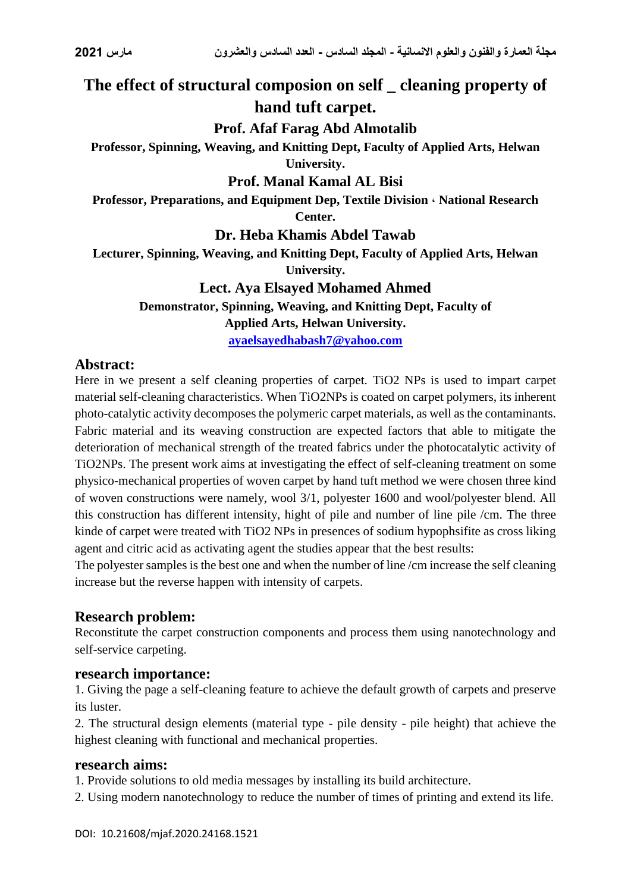# **The effect of structural composion on self \_ cleaning property of hand tuft carpet.**

# **Prof. Afaf Farag Abd Almotalib**

**Professor, Spinning, Weaving, and Knitting Dept, Faculty of Applied Arts, Helwan University.**

#### **Prof. Manal Kamal AL Bisi**

**Professor, Preparations, and Equipment Dep, Textile Division ، National Research Center.**

**Dr. Heba Khamis Abdel Tawab**

**Lecturer, Spinning, Weaving, and Knitting Dept, Faculty of Applied Arts, Helwan University.**

#### **Lect. Aya Elsayed Mohamed Ahmed**

**Demonstrator, Spinning, Weaving, and Knitting Dept, Faculty of Applied Arts, Helwan University.**

**[ayaelsayedhabash7@yahoo.com](mailto:ayaelsayedhabash7@yahoo.com)**

## **Abstract:**

Here in we present a self cleaning properties of carpet. TiO2 NPs is used to impart carpet material self-cleaning characteristics. When TiO2NPs is coated on carpet polymers, its inherent photo-catalytic activity decomposes the polymeric carpet materials, as well as the contaminants. Fabric material and its weaving construction are expected factors that able to mitigate the deterioration of mechanical strength of the treated fabrics under the photocatalytic activity of TiO2NPs. The present work aims at investigating the effect of self-cleaning treatment on some physico-mechanical properties of woven carpet by hand tuft method we were chosen three kind of woven constructions were namely, wool 3/1, polyester 1600 and wool/polyester blend. All this construction has different intensity, hight of pile and number of line pile /cm. The three kinde of carpet were treated with TiO2 NPs in presences of sodium hypophsifite as cross liking agent and citric acid as activating agent the studies appear that the best results:

The polyester samples is the best one and when the number of line /cm increase the self cleaning increase but the reverse happen with intensity of carpets.

## **Research problem:**

Reconstitute the carpet construction components and process them using nanotechnology and self-service carpeting.

## **research importance:**

1. Giving the page a self-cleaning feature to achieve the default growth of carpets and preserve its luster.

2. The structural design elements (material type - pile density - pile height) that achieve the highest cleaning with functional and mechanical properties.

#### **research aims:**

1. Provide solutions to old media messages by installing its build architecture.

2. Using modern nanotechnology to reduce the number of times of printing and extend its life.